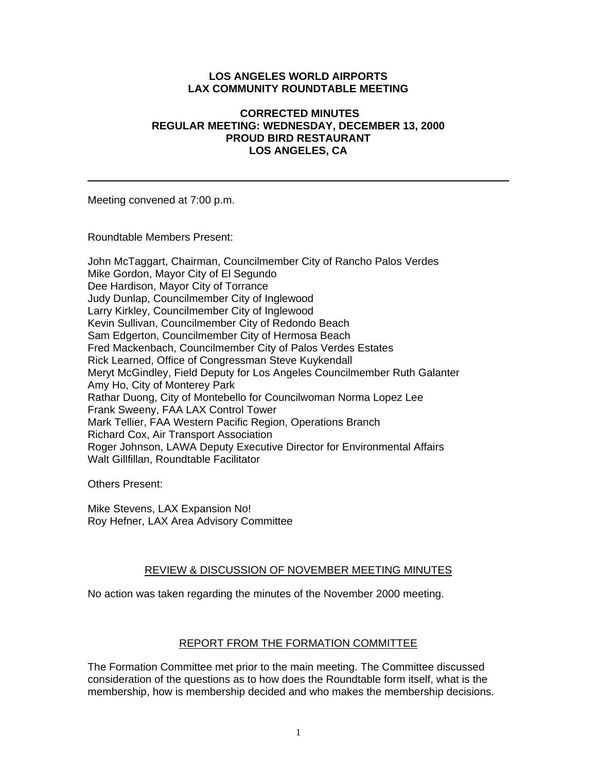#### **LOS ANGELES WORLD AIRPORTS LAX COMMUNITY ROUNDTABLE MEETING**

#### **CORRECTED MINUTES REGULAR MEETING: WEDNESDAY, DECEMBER 13, 2000 PROUD BIRD RESTAURANT LOS ANGELES, CA**

Meeting convened at 7:00 p.m.

Roundtable Members Present:

John McTaggart, Chairman, Councilmember City of Rancho Palos Verdes Mike Gordon, Mayor City of El Segundo Dee Hardison, Mayor City of Torrance Judy Dunlap, Councilmember City of Inglewood Larry Kirkley, Councilmember City of Inglewood Kevin Sullivan, Councilmember City of Redondo Beach Sam Edgerton, Councilmember City of Hermosa Beach Fred Mackenbach, Councilmember City of Palos Verdes Estates Rick Learned, Office of Congressman Steve Kuykendall Meryt McGindley, Field Deputy for Los Angeles Councilmember Ruth Galanter Amy Ho, City of Monterey Park Rathar Duong, City of Montebello for Councilwoman Norma Lopez Lee Frank Sweeny, FAA LAX Control Tower Mark Tellier, FAA Western Pacific Region, Operations Branch Richard Cox, Air Transport Association Roger Johnson, LAWA Deputy Executive Director for Environmental Affairs Walt Gillfillan, Roundtable Facilitator

Others Present:

Mike Stevens, LAX Expansion No! Roy Hefner, LAX Area Advisory Committee

### REVIEW & DISCUSSION OF NOVEMBER MEETING MINUTES

No action was taken regarding the minutes of the November 2000 meeting.

### REPORT FROM THE FORMATION COMMITTEE

The Formation Committee met prior to the main meeting. The Committee discussed consideration of the questions as to how does the Roundtable form itself, what is the membership, how is membership decided and who makes the membership decisions.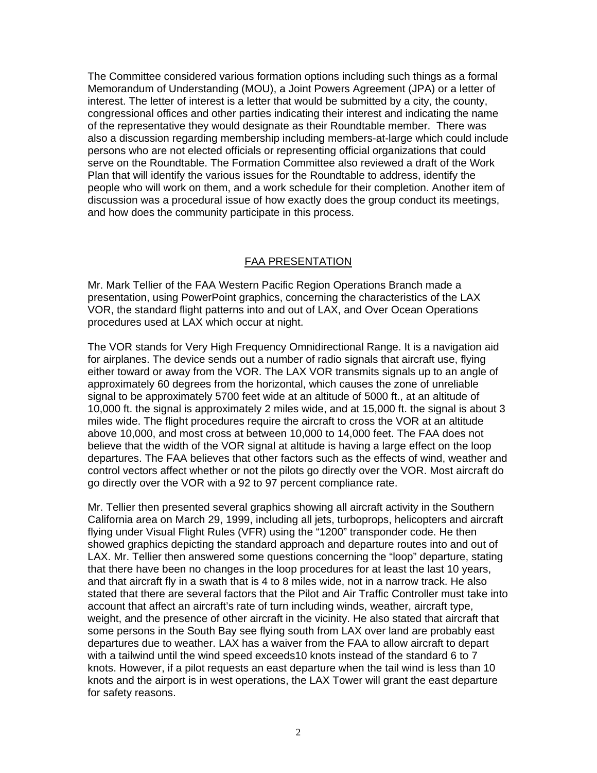The Committee considered various formation options including such things as a formal Memorandum of Understanding (MOU), a Joint Powers Agreement (JPA) or a letter of interest. The letter of interest is a letter that would be submitted by a city, the county, congressional offices and other parties indicating their interest and indicating the name of the representative they would designate as their Roundtable member. There was also a discussion regarding membership including members-at-large which could include persons who are not elected officials or representing official organizations that could serve on the Roundtable. The Formation Committee also reviewed a draft of the Work Plan that will identify the various issues for the Roundtable to address, identify the people who will work on them, and a work schedule for their completion. Another item of discussion was a procedural issue of how exactly does the group conduct its meetings, and how does the community participate in this process.

## FAA PRESENTATION

Mr. Mark Tellier of the FAA Western Pacific Region Operations Branch made a presentation, using PowerPoint graphics, concerning the characteristics of the LAX VOR, the standard flight patterns into and out of LAX, and Over Ocean Operations procedures used at LAX which occur at night.

The VOR stands for Very High Frequency Omnidirectional Range. It is a navigation aid for airplanes. The device sends out a number of radio signals that aircraft use, flying either toward or away from the VOR. The LAX VOR transmits signals up to an angle of approximately 60 degrees from the horizontal, which causes the zone of unreliable signal to be approximately 5700 feet wide at an altitude of 5000 ft., at an altitude of 10,000 ft. the signal is approximately 2 miles wide, and at 15,000 ft. the signal is about 3 miles wide. The flight procedures require the aircraft to cross the VOR at an altitude above 10,000, and most cross at between 10,000 to 14,000 feet. The FAA does not believe that the width of the VOR signal at altitude is having a large effect on the loop departures. The FAA believes that other factors such as the effects of wind, weather and control vectors affect whether or not the pilots go directly over the VOR. Most aircraft do go directly over the VOR with a 92 to 97 percent compliance rate.

Mr. Tellier then presented several graphics showing all aircraft activity in the Southern California area on March 29, 1999, including all jets, turboprops, helicopters and aircraft flying under Visual Flight Rules (VFR) using the "1200" transponder code. He then showed graphics depicting the standard approach and departure routes into and out of LAX. Mr. Tellier then answered some questions concerning the "loop" departure, stating that there have been no changes in the loop procedures for at least the last 10 years, and that aircraft fly in a swath that is 4 to 8 miles wide, not in a narrow track. He also stated that there are several factors that the Pilot and Air Traffic Controller must take into account that affect an aircraft's rate of turn including winds, weather, aircraft type, weight, and the presence of other aircraft in the vicinity. He also stated that aircraft that some persons in the South Bay see flying south from LAX over land are probably east departures due to weather. LAX has a waiver from the FAA to allow aircraft to depart with a tailwind until the wind speed exceeds10 knots instead of the standard 6 to 7 knots. However, if a pilot requests an east departure when the tail wind is less than 10 knots and the airport is in west operations, the LAX Tower will grant the east departure for safety reasons.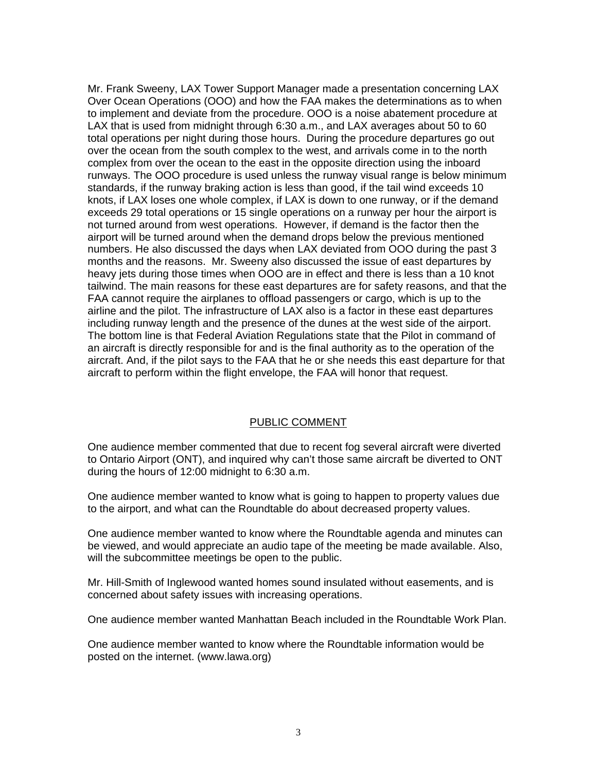Mr. Frank Sweeny, LAX Tower Support Manager made a presentation concerning LAX Over Ocean Operations (OOO) and how the FAA makes the determinations as to when to implement and deviate from the procedure. OOO is a noise abatement procedure at LAX that is used from midnight through 6:30 a.m., and LAX averages about 50 to 60 total operations per night during those hours. During the procedure departures go out over the ocean from the south complex to the west, and arrivals come in to the north complex from over the ocean to the east in the opposite direction using the inboard runways. The OOO procedure is used unless the runway visual range is below minimum standards, if the runway braking action is less than good, if the tail wind exceeds 10 knots, if LAX loses one whole complex, if LAX is down to one runway, or if the demand exceeds 29 total operations or 15 single operations on a runway per hour the airport is not turned around from west operations. However, if demand is the factor then the airport will be turned around when the demand drops below the previous mentioned numbers. He also discussed the days when LAX deviated from OOO during the past 3 months and the reasons. Mr. Sweeny also discussed the issue of east departures by heavy jets during those times when OOO are in effect and there is less than a 10 knot tailwind. The main reasons for these east departures are for safety reasons, and that the FAA cannot require the airplanes to offload passengers or cargo, which is up to the airline and the pilot. The infrastructure of LAX also is a factor in these east departures including runway length and the presence of the dunes at the west side of the airport. The bottom line is that Federal Aviation Regulations state that the Pilot in command of an aircraft is directly responsible for and is the final authority as to the operation of the aircraft. And, if the pilot says to the FAA that he or she needs this east departure for that aircraft to perform within the flight envelope, the FAA will honor that request.

#### PUBLIC COMMENT

One audience member commented that due to recent fog several aircraft were diverted to Ontario Airport (ONT), and inquired why can't those same aircraft be diverted to ONT during the hours of 12:00 midnight to 6:30 a.m.

One audience member wanted to know what is going to happen to property values due to the airport, and what can the Roundtable do about decreased property values.

One audience member wanted to know where the Roundtable agenda and minutes can be viewed, and would appreciate an audio tape of the meeting be made available. Also, will the subcommittee meetings be open to the public.

Mr. Hill-Smith of Inglewood wanted homes sound insulated without easements, and is concerned about safety issues with increasing operations.

One audience member wanted Manhattan Beach included in the Roundtable Work Plan.

One audience member wanted to know where the Roundtable information would be posted on the internet. (www.lawa.org)